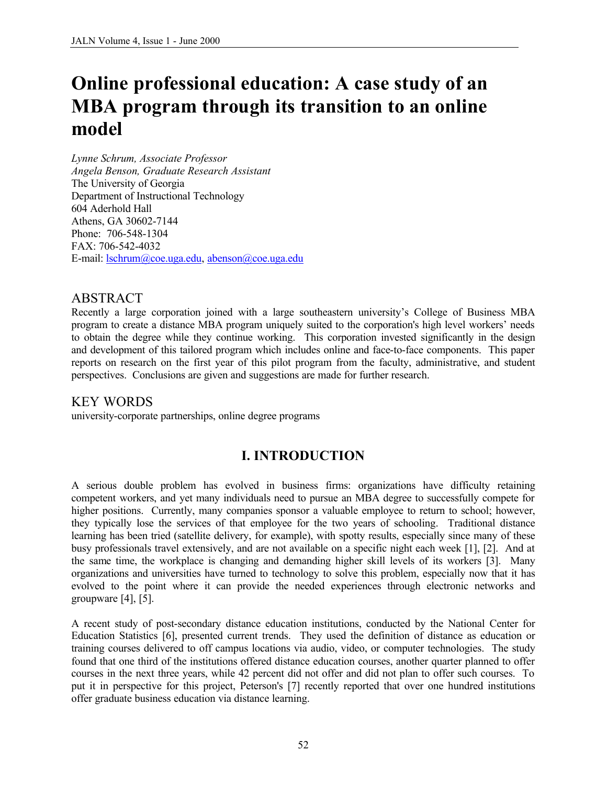# **Online professional education: A case study of an MBA program through its transition to an online model**

*Lynne Schrum, Associate Professor Angela Benson, Graduate Research Assistant* The University of Georgia Department of Instructional Technology 604 Aderhold Hall Athens, GA 30602-7144 Phone: 706-548-1304 FAX: 706-542-4032 E-mail: lschrum@coe.uga.edu, abenson@coe.uga.edu

## ABSTRACT

Recently a large corporation joined with a large southeastern university's College of Business MBA program to create a distance MBA program uniquely suited to the corporation's high level workers' needs to obtain the degree while they continue working. This corporation invested significantly in the design and development of this tailored program which includes online and face-to-face components. This paper reports on research on the first year of this pilot program from the faculty, administrative, and student perspectives. Conclusions are given and suggestions are made for further research.

# KEY WORDS

university-corporate partnerships, online degree programs

# **I. INTRODUCTION**

A serious double problem has evolved in business firms: organizations have difficulty retaining competent workers, and yet many individuals need to pursue an MBA degree to successfully compete for higher positions. Currently, many companies sponsor a valuable employee to return to school; however, they typically lose the services of that employee for the two years of schooling. Traditional distance learning has been tried (satellite delivery, for example), with spotty results, especially since many of these busy professionals travel extensively, and are not available on a specific night each week [1], [2]. And at the same time, the workplace is changing and demanding higher skill levels of its workers [3]. Many organizations and universities have turned to technology to solve this problem, especially now that it has evolved to the point where it can provide the needed experiences through electronic networks and groupware [4], [5].

A recent study of post-secondary distance education institutions, conducted by the National Center for Education Statistics [6], presented current trends. They used the definition of distance as education or training courses delivered to off campus locations via audio, video, or computer technologies. The study found that one third of the institutions offered distance education courses, another quarter planned to offer courses in the next three years, while 42 percent did not offer and did not plan to offer such courses. To put it in perspective for this project, Peterson's [7] recently reported that over one hundred institutions offer graduate business education via distance learning.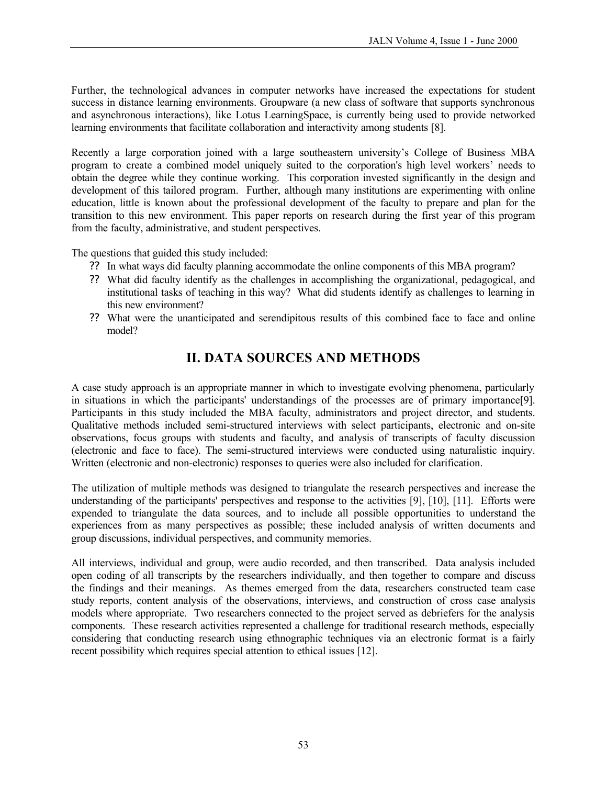Further, the technological advances in computer networks have increased the expectations for student success in distance learning environments. Groupware (a new class of software that supports synchronous and asynchronous interactions), like Lotus LearningSpace, is currently being used to provide networked learning environments that facilitate collaboration and interactivity among students [8].

Recently a large corporation joined with a large southeastern university's College of Business MBA program to create a combined model uniquely suited to the corporation's high level workers' needs to obtain the degree while they continue working. This corporation invested significantly in the design and development of this tailored program. Further, although many institutions are experimenting with online education, little is known about the professional development of the faculty to prepare and plan for the transition to this new environment. This paper reports on research during the first year of this program from the faculty, administrative, and student perspectives.

The questions that guided this study included:

- ?? In what ways did faculty planning accommodate the online components of this MBA program?
- ?? What did faculty identify as the challenges in accomplishing the organizational, pedagogical, and institutional tasks of teaching in this way? What did students identify as challenges to learning in this new environment?
- ?? What were the unanticipated and serendipitous results of this combined face to face and online model?

# **II. DATA SOURCES AND METHODS**

A case study approach is an appropriate manner in which to investigate evolving phenomena, particularly in situations in which the participants' understandings of the processes are of primary importance[9]. Participants in this study included the MBA faculty, administrators and project director, and students. Qualitative methods included semi-structured interviews with select participants, electronic and on-site observations, focus groups with students and faculty, and analysis of transcripts of faculty discussion (electronic and face to face). The semi-structured interviews were conducted using naturalistic inquiry. Written (electronic and non-electronic) responses to queries were also included for clarification.

The utilization of multiple methods was designed to triangulate the research perspectives and increase the understanding of the participants' perspectives and response to the activities [9], [10], [11]. Efforts were expended to triangulate the data sources, and to include all possible opportunities to understand the experiences from as many perspectives as possible; these included analysis of written documents and group discussions, individual perspectives, and community memories.

All interviews, individual and group, were audio recorded, and then transcribed. Data analysis included open coding of all transcripts by the researchers individually, and then together to compare and discuss the findings and their meanings. As themes emerged from the data, researchers constructed team case study reports, content analysis of the observations, interviews, and construction of cross case analysis models where appropriate. Two researchers connected to the project served as debriefers for the analysis components. These research activities represented a challenge for traditional research methods, especially considering that conducting research using ethnographic techniques via an electronic format is a fairly recent possibility which requires special attention to ethical issues [12].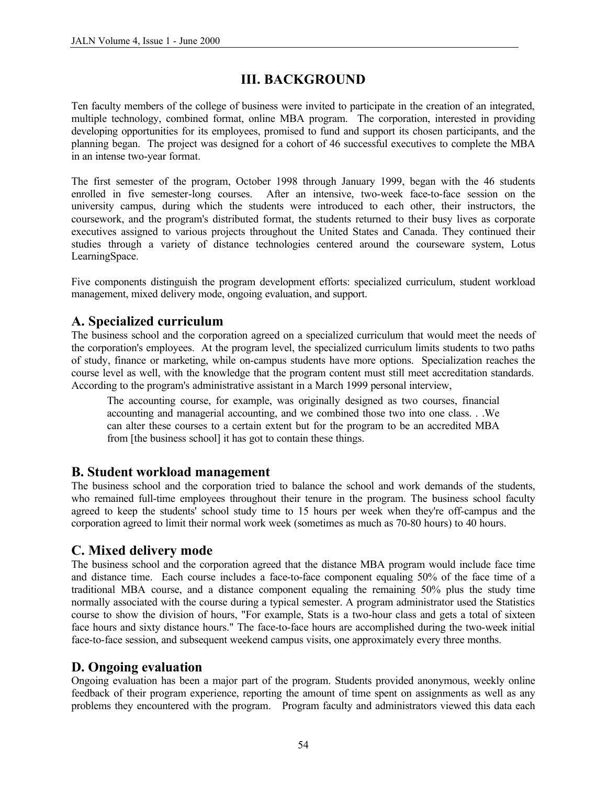# **III. BACKGROUND**

Ten faculty members of the college of business were invited to participate in the creation of an integrated, multiple technology, combined format, online MBA program. The corporation, interested in providing developing opportunities for its employees, promised to fund and support its chosen participants, and the planning began. The project was designed for a cohort of 46 successful executives to complete the MBA in an intense two-year format.

The first semester of the program, October 1998 through January 1999, began with the 46 students enrolled in five semester-long courses. After an intensive, two-week face-to-face session on the university campus, during which the students were introduced to each other, their instructors, the coursework, and the program's distributed format, the students returned to their busy lives as corporate executives assigned to various projects throughout the United States and Canada. They continued their studies through a variety of distance technologies centered around the courseware system, Lotus LearningSpace.

Five components distinguish the program development efforts: specialized curriculum, student workload management, mixed delivery mode, ongoing evaluation, and support.

## **A. Specialized curriculum**

The business school and the corporation agreed on a specialized curriculum that would meet the needs of the corporation's employees. At the program level, the specialized curriculum limits students to two paths of study, finance or marketing, while on-campus students have more options. Specialization reaches the course level as well, with the knowledge that the program content must still meet accreditation standards. According to the program's administrative assistant in a March 1999 personal interview,

The accounting course, for example, was originally designed as two courses, financial accounting and managerial accounting, and we combined those two into one class. . .We can alter these courses to a certain extent but for the program to be an accredited MBA from [the business school] it has got to contain these things.

#### **B. Student workload management**

The business school and the corporation tried to balance the school and work demands of the students, who remained full-time employees throughout their tenure in the program. The business school faculty agreed to keep the students' school study time to 15 hours per week when they're off-campus and the corporation agreed to limit their normal work week (sometimes as much as 70-80 hours) to 40 hours.

#### **C. Mixed delivery mode**

The business school and the corporation agreed that the distance MBA program would include face time and distance time. Each course includes a face-to-face component equaling 50% of the face time of a traditional MBA course, and a distance component equaling the remaining 50% plus the study time normally associated with the course during a typical semester. A program administrator used the Statistics course to show the division of hours, "For example, Stats is a two-hour class and gets a total of sixteen face hours and sixty distance hours." The face-to-face hours are accomplished during the two-week initial face-to-face session, and subsequent weekend campus visits, one approximately every three months.

## **D. Ongoing evaluation**

Ongoing evaluation has been a major part of the program. Students provided anonymous, weekly online feedback of their program experience, reporting the amount of time spent on assignments as well as any problems they encountered with the program. Program faculty and administrators viewed this data each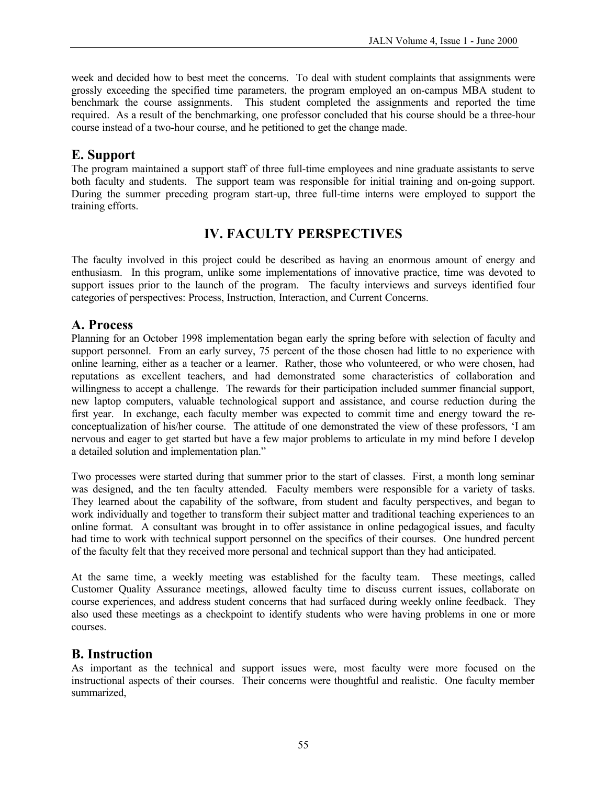week and decided how to best meet the concerns. To deal with student complaints that assignments were grossly exceeding the specified time parameters, the program employed an on-campus MBA student to benchmark the course assignments. This student completed the assignments and reported the time required. As a result of the benchmarking, one professor concluded that his course should be a three-hour course instead of a two-hour course, and he petitioned to get the change made.

# **E. Support**

The program maintained a support staff of three full-time employees and nine graduate assistants to serve both faculty and students. The support team was responsible for initial training and on-going support. During the summer preceding program start-up, three full-time interns were employed to support the training efforts.

# **IV. FACULTY PERSPECTIVES**

The faculty involved in this project could be described as having an enormous amount of energy and enthusiasm. In this program, unlike some implementations of innovative practice, time was devoted to support issues prior to the launch of the program. The faculty interviews and surveys identified four categories of perspectives: Process, Instruction, Interaction, and Current Concerns.

## **A. Process**

Planning for an October 1998 implementation began early the spring before with selection of faculty and support personnel. From an early survey, 75 percent of the those chosen had little to no experience with online learning, either as a teacher or a learner. Rather, those who volunteered, or who were chosen, had reputations as excellent teachers, and had demonstrated some characteristics of collaboration and willingness to accept a challenge. The rewards for their participation included summer financial support, new laptop computers, valuable technological support and assistance, and course reduction during the first year. In exchange, each faculty member was expected to commit time and energy toward the reconceptualization of his/her course. The attitude of one demonstrated the view of these professors, 'I am nervous and eager to get started but have a few major problems to articulate in my mind before I develop a detailed solution and implementation plan."

Two processes were started during that summer prior to the start of classes. First, a month long seminar was designed, and the ten faculty attended. Faculty members were responsible for a variety of tasks. They learned about the capability of the software, from student and faculty perspectives, and began to work individually and together to transform their subject matter and traditional teaching experiences to an online format. A consultant was brought in to offer assistance in online pedagogical issues, and faculty had time to work with technical support personnel on the specifics of their courses. One hundred percent of the faculty felt that they received more personal and technical support than they had anticipated.

At the same time, a weekly meeting was established for the faculty team. These meetings, called Customer Quality Assurance meetings, allowed faculty time to discuss current issues, collaborate on course experiences, and address student concerns that had surfaced during weekly online feedback. They also used these meetings as a checkpoint to identify students who were having problems in one or more courses.

#### **B. Instruction**

As important as the technical and support issues were, most faculty were more focused on the instructional aspects of their courses. Their concerns were thoughtful and realistic. One faculty member summarized,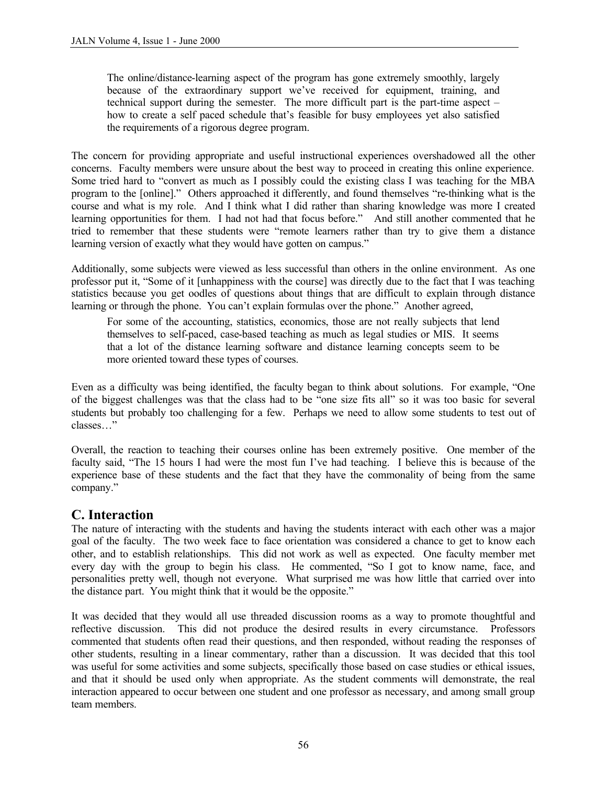The online/distance-learning aspect of the program has gone extremely smoothly, largely because of the extraordinary support we've received for equipment, training, and technical support during the semester. The more difficult part is the part-time aspect – how to create a self paced schedule that's feasible for busy employees yet also satisfied the requirements of a rigorous degree program.

The concern for providing appropriate and useful instructional experiences overshadowed all the other concerns. Faculty members were unsure about the best way to proceed in creating this online experience. Some tried hard to "convert as much as I possibly could the existing class I was teaching for the MBA program to the [online]." Others approached it differently, and found themselves "re-thinking what is the course and what is my role. And I think what I did rather than sharing knowledge was more I created learning opportunities for them. I had not had that focus before." And still another commented that he tried to remember that these students were "remote learners rather than try to give them a distance learning version of exactly what they would have gotten on campus."

Additionally, some subjects were viewed as less successful than others in the online environment. As one professor put it, "Some of it [unhappiness with the course] was directly due to the fact that I was teaching statistics because you get oodles of questions about things that are difficult to explain through distance learning or through the phone. You can't explain formulas over the phone." Another agreed,

For some of the accounting, statistics, economics, those are not really subjects that lend themselves to self-paced, case-based teaching as much as legal studies or MIS. It seems that a lot of the distance learning software and distance learning concepts seem to be more oriented toward these types of courses.

Even as a difficulty was being identified, the faculty began to think about solutions. For example, "One of the biggest challenges was that the class had to be "one size fits all" so it was too basic for several students but probably too challenging for a few. Perhaps we need to allow some students to test out of classes…"

Overall, the reaction to teaching their courses online has been extremely positive. One member of the faculty said, "The 15 hours I had were the most fun I've had teaching. I believe this is because of the experience base of these students and the fact that they have the commonality of being from the same company."

#### **C. Interaction**

The nature of interacting with the students and having the students interact with each other was a major goal of the faculty. The two week face to face orientation was considered a chance to get to know each other, and to establish relationships. This did not work as well as expected. One faculty member met every day with the group to begin his class. He commented, "So I got to know name, face, and personalities pretty well, though not everyone. What surprised me was how little that carried over into the distance part. You might think that it would be the opposite."

It was decided that they would all use threaded discussion rooms as a way to promote thoughtful and reflective discussion. This did not produce the desired results in every circumstance. Professors commented that students often read their questions, and then responded, without reading the responses of other students, resulting in a linear commentary, rather than a discussion. It was decided that this tool was useful for some activities and some subjects, specifically those based on case studies or ethical issues, and that it should be used only when appropriate. As the student comments will demonstrate, the real interaction appeared to occur between one student and one professor as necessary, and among small group team members.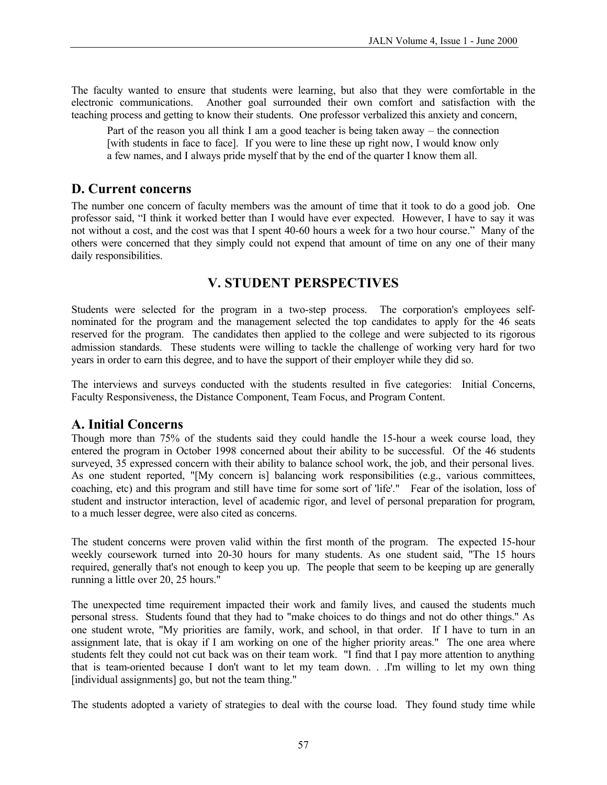The faculty wanted to ensure that students were learning, but also that they were comfortable in the electronic communications. Another goal surrounded their own comfort and satisfaction with the teaching process and getting to know their students. One professor verbalized this anxiety and concern,

Part of the reason you all think I am a good teacher is being taken away – the connection [with students in face to face]. If you were to line these up right now, I would know only a few names, and I always pride myself that by the end of the quarter I know them all.

## **D. Current concerns**

The number one concern of faculty members was the amount of time that it took to do a good job. One professor said, "I think it worked better than I would have ever expected. However, I have to say it was not without a cost, and the cost was that I spent 40-60 hours a week for a two hour course." Many of the others were concerned that they simply could not expend that amount of time on any one of their many daily responsibilities.

# **V. STUDENT PERSPECTIVES**

Students were selected for the program in a two-step process. The corporation's employees selfnominated for the program and the management selected the top candidates to apply for the 46 seats reserved for the program. The candidates then applied to the college and were subjected to its rigorous admission standards. These students were willing to tackle the challenge of working very hard for two years in order to earn this degree, and to have the support of their employer while they did so.

The interviews and surveys conducted with the students resulted in five categories: Initial Concerns, Faculty Responsiveness, the Distance Component, Team Focus, and Program Content.

#### **A. Initial Concerns**

Though more than 75% of the students said they could handle the 15-hour a week course load, they entered the program in October 1998 concerned about their ability to be successful. Of the 46 students surveyed, 35 expressed concern with their ability to balance school work, the job, and their personal lives. As one student reported, "[My concern is] balancing work responsibilities (e.g., various committees, coaching, etc) and this program and still have time for some sort of 'life'." Fear of the isolation, loss of student and instructor interaction, level of academic rigor, and level of personal preparation for program, to a much lesser degree, were also cited as concerns.

The student concerns were proven valid within the first month of the program. The expected 15-hour weekly coursework turned into 20-30 hours for many students. As one student said, "The 15 hours required, generally that's not enough to keep you up. The people that seem to be keeping up are generally running a little over 20, 25 hours."

The unexpected time requirement impacted their work and family lives, and caused the students much personal stress. Students found that they had to "make choices to do things and not do other things." As one student wrote, "My priorities are family, work, and school, in that order. If I have to turn in an assignment late, that is okay if I am working on one of the higher priority areas." The one area where students felt they could not cut back was on their team work. "I find that I pay more attention to anything that is team-oriented because I don't want to let my team down. . .I'm willing to let my own thing [individual assignments] go, but not the team thing."

The students adopted a variety of strategies to deal with the course load. They found study time while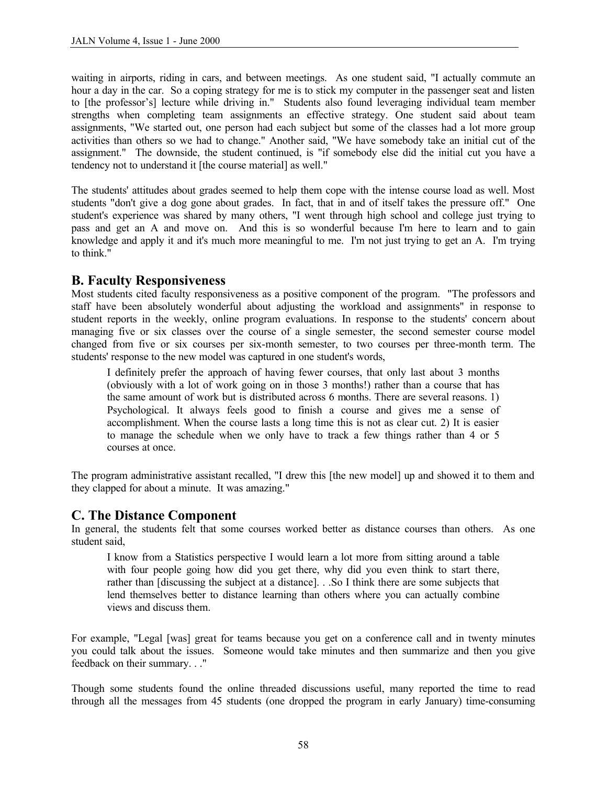waiting in airports, riding in cars, and between meetings. As one student said, "I actually commute an hour a day in the car. So a coping strategy for me is to stick my computer in the passenger seat and listen to [the professor's] lecture while driving in." Students also found leveraging individual team member strengths when completing team assignments an effective strategy. One student said about team assignments, "We started out, one person had each subject but some of the classes had a lot more group activities than others so we had to change." Another said, "We have somebody take an initial cut of the assignment." The downside, the student continued, is "if somebody else did the initial cut you have a tendency not to understand it [the course material] as well."

The students' attitudes about grades seemed to help them cope with the intense course load as well. Most students "don't give a dog gone about grades. In fact, that in and of itself takes the pressure off." One student's experience was shared by many others, "I went through high school and college just trying to pass and get an A and move on. And this is so wonderful because I'm here to learn and to gain knowledge and apply it and it's much more meaningful to me. I'm not just trying to get an A. I'm trying to think."

## **B. Faculty Responsiveness**

Most students cited faculty responsiveness as a positive component of the program. "The professors and staff have been absolutely wonderful about adjusting the workload and assignments" in response to student reports in the weekly, online program evaluations. In response to the students' concern about managing five or six classes over the course of a single semester, the second semester course model changed from five or six courses per six-month semester, to two courses per three-month term. The students' response to the new model was captured in one student's words,

I definitely prefer the approach of having fewer courses, that only last about 3 months (obviously with a lot of work going on in those 3 months!) rather than a course that has the same amount of work but is distributed across 6 months. There are several reasons. 1) Psychological. It always feels good to finish a course and gives me a sense of accomplishment. When the course lasts a long time this is not as clear cut. 2) It is easier to manage the schedule when we only have to track a few things rather than 4 or 5 courses at once.

The program administrative assistant recalled, "I drew this [the new model] up and showed it to them and they clapped for about a minute. It was amazing."

#### **C. The Distance Component**

In general, the students felt that some courses worked better as distance courses than others. As one student said,

I know from a Statistics perspective I would learn a lot more from sitting around a table with four people going how did you get there, why did you even think to start there, rather than [discussing the subject at a distance]. . .So I think there are some subjects that lend themselves better to distance learning than others where you can actually combine views and discuss them.

For example, "Legal [was] great for teams because you get on a conference call and in twenty minutes you could talk about the issues. Someone would take minutes and then summarize and then you give feedback on their summary. . ."

Though some students found the online threaded discussions useful, many reported the time to read through all the messages from 45 students (one dropped the program in early January) time-consuming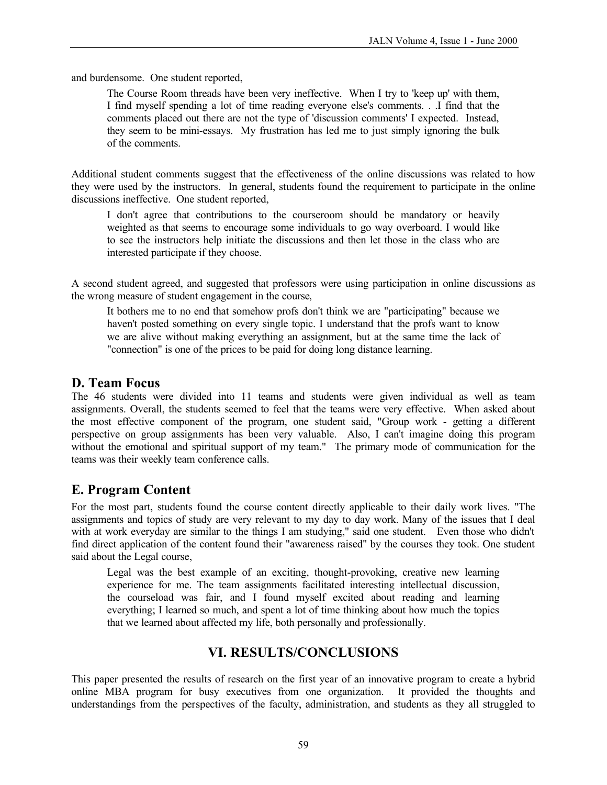and burdensome. One student reported,

The Course Room threads have been very ineffective. When I try to 'keep up' with them, I find myself spending a lot of time reading everyone else's comments. . .I find that the comments placed out there are not the type of 'discussion comments' I expected. Instead, they seem to be mini-essays. My frustration has led me to just simply ignoring the bulk of the comments.

Additional student comments suggest that the effectiveness of the online discussions was related to how they were used by the instructors. In general, students found the requirement to participate in the online discussions ineffective. One student reported,

I don't agree that contributions to the courseroom should be mandatory or heavily weighted as that seems to encourage some individuals to go way overboard. I would like to see the instructors help initiate the discussions and then let those in the class who are interested participate if they choose.

A second student agreed, and suggested that professors were using participation in online discussions as the wrong measure of student engagement in the course,

It bothers me to no end that somehow profs don't think we are "participating" because we haven't posted something on every single topic. I understand that the profs want to know we are alive without making everything an assignment, but at the same time the lack of "connection" is one of the prices to be paid for doing long distance learning.

## **D. Team Focus**

The 46 students were divided into 11 teams and students were given individual as well as team assignments. Overall, the students seemed to feel that the teams were very effective. When asked about the most effective component of the program, one student said, "Group work - getting a different perspective on group assignments has been very valuable. Also, I can't imagine doing this program without the emotional and spiritual support of my team." The primary mode of communication for the teams was their weekly team conference calls.

# **E. Program Content**

For the most part, students found the course content directly applicable to their daily work lives. "The assignments and topics of study are very relevant to my day to day work. Many of the issues that I deal with at work everyday are similar to the things I am studying," said one student. Even those who didn't find direct application of the content found their "awareness raised" by the courses they took. One student said about the Legal course,

Legal was the best example of an exciting, thought-provoking, creative new learning experience for me. The team assignments facilitated interesting intellectual discussion, the courseload was fair, and I found myself excited about reading and learning everything; I learned so much, and spent a lot of time thinking about how much the topics that we learned about affected my life, both personally and professionally.

# **VI. RESULTS/CONCLUSIONS**

This paper presented the results of research on the first year of an innovative program to create a hybrid online MBA program for busy executives from one organization. It provided the thoughts and understandings from the perspectives of the faculty, administration, and students as they all struggled to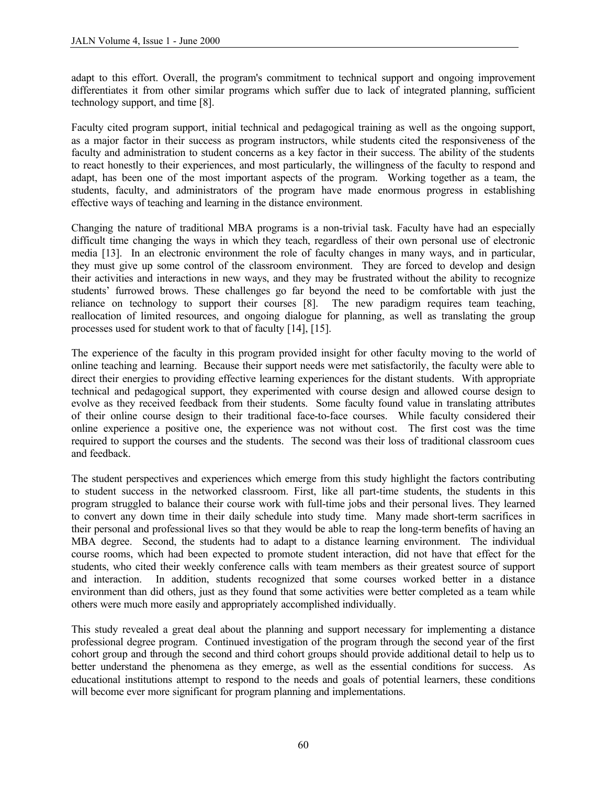adapt to this effort. Overall, the program's commitment to technical support and ongoing improvement differentiates it from other similar programs which suffer due to lack of integrated planning, sufficient technology support, and time [8].

Faculty cited program support, initial technical and pedagogical training as well as the ongoing support, as a major factor in their success as program instructors, while students cited the responsiveness of the faculty and administration to student concerns as a key factor in their success. The ability of the students to react honestly to their experiences, and most particularly, the willingness of the faculty to respond and adapt, has been one of the most important aspects of the program. Working together as a team, the students, faculty, and administrators of the program have made enormous progress in establishing effective ways of teaching and learning in the distance environment.

Changing the nature of traditional MBA programs is a non-trivial task. Faculty have had an especially difficult time changing the ways in which they teach, regardless of their own personal use of electronic media [13]. In an electronic environment the role of faculty changes in many ways, and in particular, they must give up some control of the classroom environment. They are forced to develop and design their activities and interactions in new ways, and they may be frustrated without the ability to recognize students' furrowed brows. These challenges go far beyond the need to be comfortable with just the reliance on technology to support their courses [8]. The new paradigm requires team teaching, reallocation of limited resources, and ongoing dialogue for planning, as well as translating the group processes used for student work to that of faculty [14], [15].

The experience of the faculty in this program provided insight for other faculty moving to the world of online teaching and learning. Because their support needs were met satisfactorily, the faculty were able to direct their energies to providing effective learning experiences for the distant students. With appropriate technical and pedagogical support, they experimented with course design and allowed course design to evolve as they received feedback from their students. Some faculty found value in translating attributes of their online course design to their traditional face-to-face courses. While faculty considered their online experience a positive one, the experience was not without cost. The first cost was the time required to support the courses and the students. The second was their loss of traditional classroom cues and feedback.

The student perspectives and experiences which emerge from this study highlight the factors contributing to student success in the networked classroom. First, like all part-time students, the students in this program struggled to balance their course work with full-time jobs and their personal lives. They learned to convert any down time in their daily schedule into study time. Many made short-term sacrifices in their personal and professional lives so that they would be able to reap the long-term benefits of having an MBA degree. Second, the students had to adapt to a distance learning environment. The individual course rooms, which had been expected to promote student interaction, did not have that effect for the students, who cited their weekly conference calls with team members as their greatest source of support and interaction. In addition, students recognized that some courses worked better in a distance environment than did others, just as they found that some activities were better completed as a team while others were much more easily and appropriately accomplished individually.

This study revealed a great deal about the planning and support necessary for implementing a distance professional degree program. Continued investigation of the program through the second year of the first cohort group and through the second and third cohort groups should provide additional detail to help us to better understand the phenomena as they emerge, as well as the essential conditions for success. As educational institutions attempt to respond to the needs and goals of potential learners, these conditions will become ever more significant for program planning and implementations.